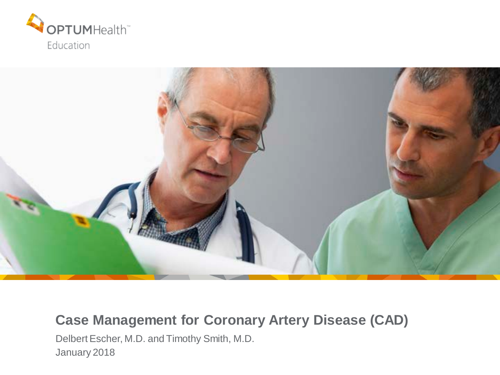



### **Case Management for Coronary Artery Disease (CAD)**

Delbert Escher, M.D. and Timothy Smith, M.D. January 2018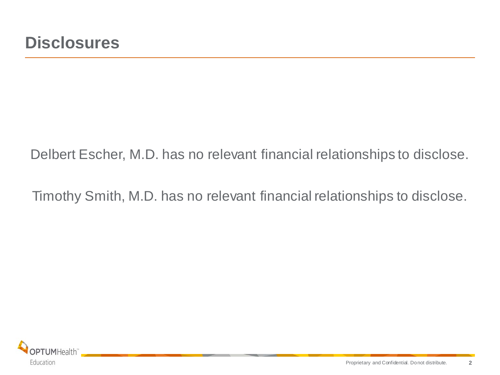### Delbert Escher, M.D. has no relevant financial relationships to disclose.

Timothy Smith, M.D. has no relevant financial relationships to disclose.

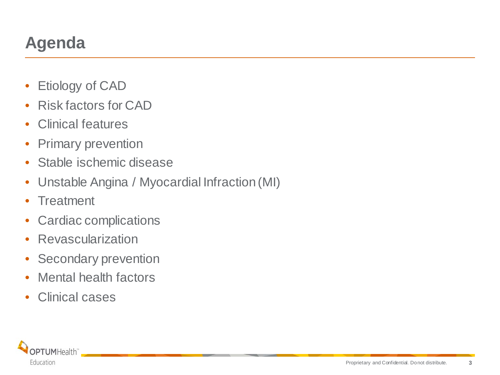# **Agenda**

- Etiology of CAD
- Risk factors for CAD
- Clinical features
- Primary prevention
- Stable ischemic disease
- Unstable Angina / Myocardial Infraction (MI)
- Treatment
- Cardiac complications
- Revascularization
- Secondary prevention
- Mental health factors
- Clinical cases

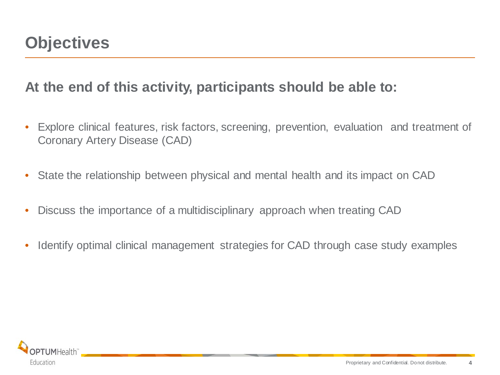### **At the end of this activity, participants should be able to:**

- Explore clinical features, risk factors, screening, prevention, evaluation and treatment of Coronary Artery Disease (CAD)
- State the relationship between physical and mental health and its impact on CAD
- Discuss the importance of a multidisciplinary approach when treating CAD
- Identify optimal clinical management strategies for CAD through case study examples

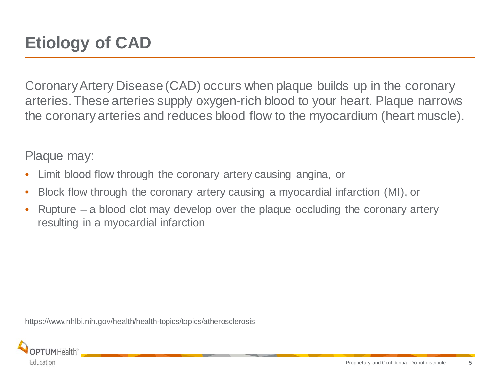Coronary Artery Disease (CAD) occurs when plaque builds up in the coronary arteries. These arteries supply oxygen-rich blood to your heart. Plaque narrows the coronary arteries and reduces blood flow to the myocardium (heart muscle).

Plaque may:

- Limit blood flow through the coronary artery causing angina, or
- Block flow through the coronary artery causing a myocardial infarction (MI), or
- Rupture a blood clot may develop over the plaque occluding the coronary artery resulting in a myocardial infarction

https://www.nhlbi.nih.gov/health/health-topics/topics/atherosclerosis

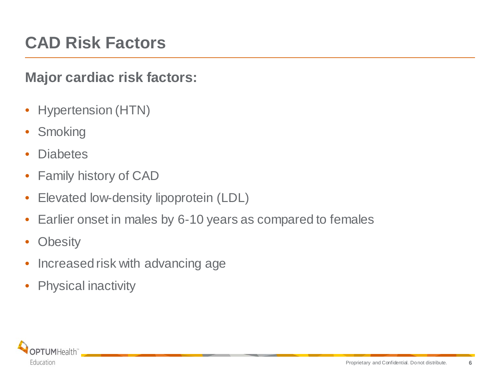## **CAD Risk Factors**

### **Major cardiac risk factors:**

- Hypertension (HTN)
- Smoking
- **Diabetes**
- Family history of CAD
- Elevated low-density lipoprotein (LDL)
- Earlier onset in males by 6-10 years as compared to females
- Obesity
- Increased risk with advancing age
- Physical inactivity

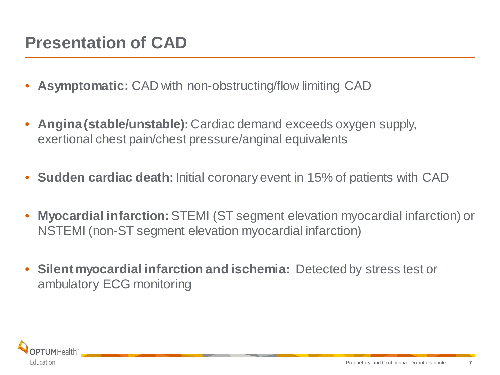## **Presentation of CAD**

- **Asymptomatic:** CAD with non-obstructing/flow limiting CAD
- **Angina (stable/unstable):** Cardiac demand exceeds oxygen supply, exertional chest pain/chest pressure/anginal equivalents
- **Sudden cardiac death:** Initial coronary event in 15% of patients with CAD
- **Myocardial infarction:**STEMI (ST segment elevation myocardial infarction) or NSTEMI (non-ST segment elevation myocardial infarction)
- **Silent myocardial infarction and ischemia:** Detected by stress test or ambulatory ECG monitoring

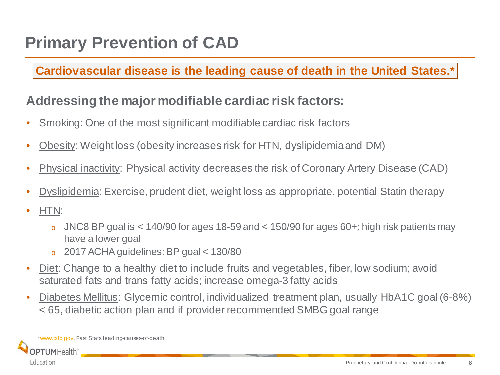#### **Cardiovascular disease is the leading cause of death in the United States.\***

### **Addressing the major modifiable cardiac risk factors:**

- Smoking: One of the most significant modifiable cardiac risk factors
- Obesity: Weight loss (obesity increases risk for HTN, dyslipidemia and DM)
- Physical inactivity: Physical activity decreases the risk of Coronary Artery Disease (CAD)
- Dyslipidemia: Exercise, prudent diet, weight loss as appropriate, potential Statin therapy
- HTN:
	- o JNC8 BP goal is  $< 140/90$  for ages 18-59 and  $< 150/90$  for ages 60+; high risk patients may have a lower goal
	- <sup>o</sup> 2017 ACHA guidelines: BP goal < 130/80
- Diet: Change to a healthy diet to include fruits and vegetables, fiber, low sodium; avoid saturated fats and trans fatty acids; increase omega-3 fatty acids
- Diabetes Mellitus: Glycemic control, individualized treatment plan, usually HbA1C goal (6-8%) < 65, diabetic action plan and if provider recommended SMBG goal range

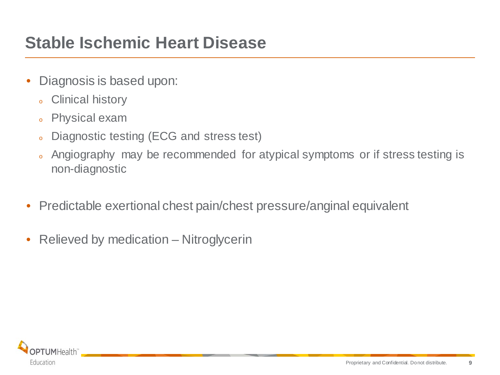## **Stable Ischemic Heart Disease**

- Diagnosis is based upon:
	- <sup>o</sup> Clinical history
	- <sup>o</sup> Physical exam
	- <sup>o</sup> Diagnostic testing (ECG and stress test)
	- <sup>o</sup> Angiography may be recommended for atypical symptoms or if stress testing is non-diagnostic
- Predictable exertional chest pain/chest pressure/anginal equivalent
- Relieved by medication Nitroglycerin

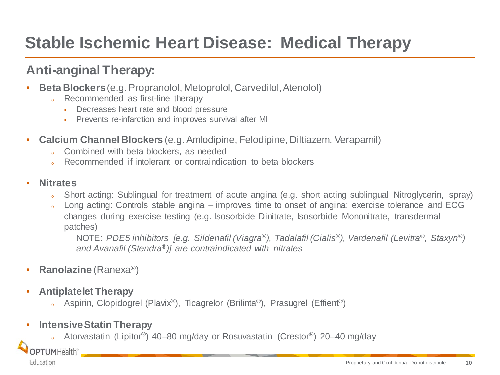# **Stable Ischemic Heart Disease: Medical Therapy**

### **Anti-anginal Therapy:**

- **Beta Blockers** (e.g. Propranolol, Metoprolol, Carvedilol, Atenolol)
	- . Recommended as first-line therapy
		- Decreases heart rate and blood pressure
		- **Prevents re-infarction and improves survival after MI**
- **Calcium Channel Blockers** (e.g. Amlodipine, Felodipine, Diltiazem, Verapamil)
	- o Combined with beta blockers, as needed
	- Recommended if intolerant or contraindication to beta blockers

#### • **Nitrates**

- Short acting: Sublingual for treatment of acute angina (e.g. short acting sublingual Nitroglycerin, spray)
- Long acting: Controls stable angina improves time to onset of angina; exercise tolerance and ECG changes during exercise testing (e.g. Isosorbide Dinitrate, Isosorbide Mononitrate, transdermal patches)

NOTE: *PDE5 inhibitors [e.g. Sildenafil (Viagra®), Tadalafil (Cialis®), Vardenafil (Levitra®, Staxyn®) and Avanafil (Stendra®)] are contraindicated with nitrates*

- **Ranolazine** (Ranexa*®*)
- **Antiplatelet Therapy**
	- Aspirin, Clopidogrel (Plavix®), Ticagrelor (Brilinta®), Prasugrel (Effient®)
- **Intensive Statin Therapy**
	- Atorvastatin (Lipitor®) 40–80 mg/day or Rosuvastatin (Crestor®) 20–40 mg/day

OPTUMHealth<sup>®</sup>

Education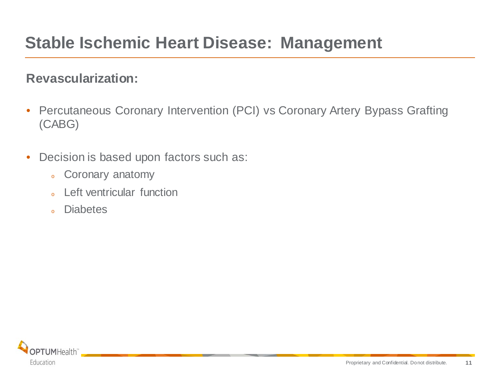#### **Revascularization:**

- Percutaneous Coronary Intervention (PCI) vs Coronary Artery Bypass Grafting (CABG)
- Decision is based upon factors such as:
	- <sup>o</sup> Coronary anatomy
	- <sup>o</sup> Left ventricular function
	- <sup>o</sup> Diabetes

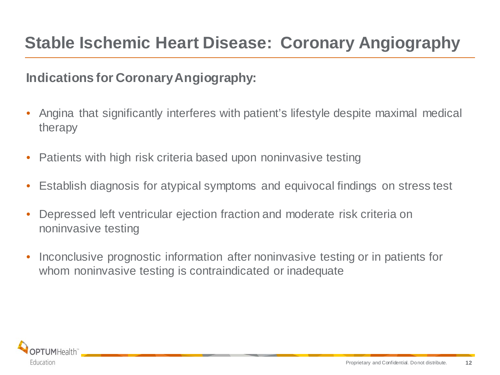### **Indications for Coronary Angiography:**

- Angina that significantly interferes with patient's lifestyle despite maximal medical therapy
- Patients with high risk criteria based upon noninvasive testing
- Establish diagnosis for atypical symptoms and equivocal findings on stress test
- Depressed left ventricular ejection fraction and moderate risk criteria on noninvasive testing
- Inconclusive prognostic information after noninvasive testing or in patients for whom noninvasive testing is contraindicated or inadequate

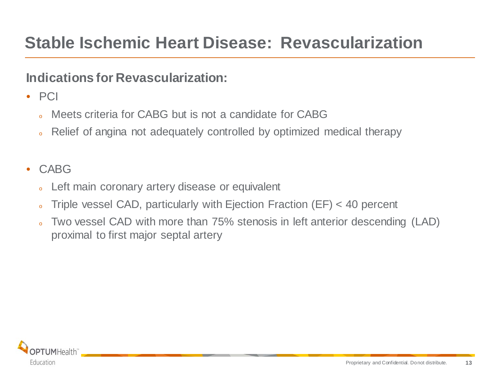### **Indications for Revascularization:**

- PCI
	- Meets criteria for CABG but is not a candidate for CABG
	- Relief of angina not adequately controlled by optimized medical therapy

#### • CABG

- Left main coronary artery disease or equivalent
- Triple vessel CAD, particularly with Ejection Fraction (EF)  $<$  40 percent
- Two vessel CAD with more than 75% stenosis in left anterior descending (LAD) proximal to first major septal artery

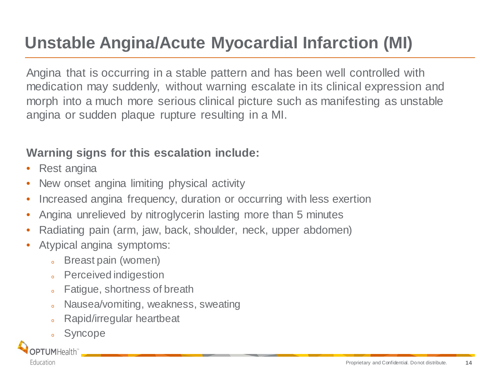# **Unstable Angina/Acute Myocardial Infarction (MI)**

Angina that is occurring in a stable pattern and has been well controlled with medication may suddenly, without warning escalate in its clinical expression and morph into a much more serious clinical picture such as manifesting as unstable angina or sudden plaque rupture resulting in a MI.

### **Warning signs for this escalation include:**

- Rest angina
- New onset angina limiting physical activity
- Increased angina frequency, duration or occurring with less exertion
- Angina unrelieved by nitroglycerin lasting more than 5 minutes
- Radiating pain (arm, jaw, back, shoulder, neck, upper abdomen)
- Atypical angina symptoms:
	- <sup>o</sup> Breast pain (women)
	- <sup>o</sup> Perceived indigestion
	- o Fatigue, shortness of breath
	- o Nausea/vomiting, weakness, sweating
	- <sup>o</sup> Rapid/irregular heartbeat
	- <sup>o</sup> Syncope

PTUMHealth" Education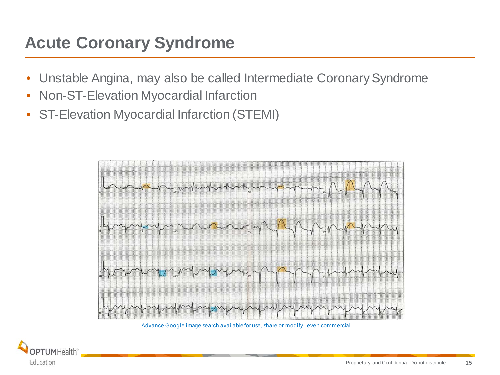## **Acute Coronary Syndrome**

- Unstable Angina, may also be called Intermediate Coronary Syndrome
- Non-ST-Elevation Myocardial Infarction
- ST-Elevation Myocardial Infarction (STEMI)



Advance Google image search available for use, share or modify , even commercial.

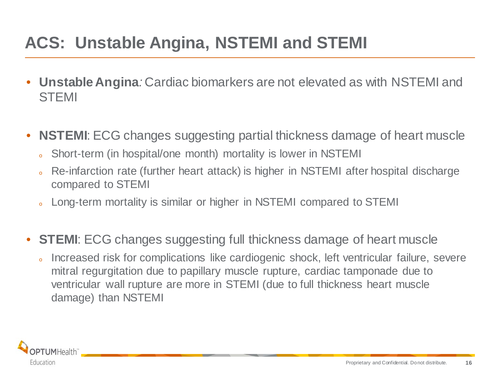## **ACS: Unstable Angina, NSTEMI and STEMI**

- **Unstable Angina***:* Cardiac biomarkers are not elevated as with NSTEMI and **STEMI**
- **NSTEMI:** ECG changes suggesting partial thickness damage of heart muscle
	- o Short-term (in hospital/one month) mortality is lower in NSTEMI
	- Re-infarction rate (further heart attack) is higher in NSTEMI after hospital discharge compared to STEMI
	- Long-term mortality is similar or higher in NSTEMI compared to STEMI
- **STEMI:** ECG changes suggesting full thickness damage of heart muscle
	- Increased risk for complications like cardiogenic shock, left ventricular failure, severe mitral regurgitation due to papillary muscle rupture, cardiac tamponade due to ventricular wall rupture are more in STEMI (due to full thickness heart muscle damage) than NSTEMI

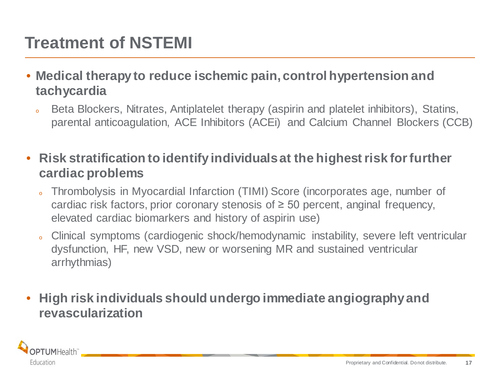# **Treatment of NSTEMI**

- **Medical therapy to reduce ischemic pain, control hypertension and tachycardia**
	- Beta Blockers, Nitrates, Antiplatelet therapy (aspirin and platelet inhibitors), Statins, parental anticoagulation, ACE Inhibitors (ACEi) and Calcium Channel Blockers (CCB)
- **Risk stratification to identify individuals at the highest risk for further cardiac problems**
	- Thrombolysis in Myocardial Infarction (TIMI) Score (incorporates age, number of cardiac risk factors, prior coronary stenosis of  $\geq$  50 percent, anginal frequency, elevated cardiac biomarkers and history of aspirin use)
	- Clinical symptoms (cardiogenic shock/hemodynamic instability, severe left ventricular dysfunction, HF, new VSD, new or worsening MR and sustained ventricular arrhythmias)
- **High risk individuals should undergo immediate angiography and revascularization**

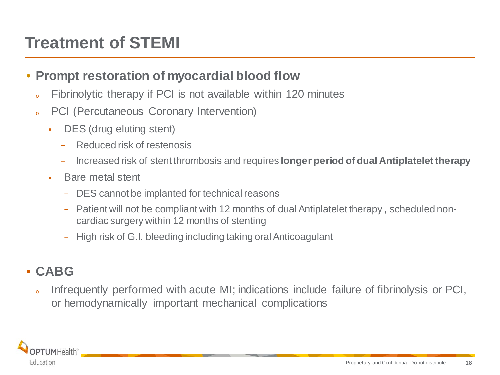# **Treatment of STEMI**

#### • **Prompt restoration of myocardial blood flow**

- <sup>o</sup> Fibrinolytic therapy if PCI is not available within 120 minutes
- <sup>o</sup> PCI (Percutaneous Coronary Intervention)
	- DES (drug eluting stent)
		- − Reduced risk of restenosis
		- − Increased risk of stent thrombosis and requires **longer period of dual Antiplatelet therapy**
	- **Bare metal stent** 
		- − DES cannot be implanted for technical reasons
		- − Patient will not be compliant with 12 months of dual Antiplatelet therapy , scheduled noncardiac surgery within 12 months of stenting
		- − High risk of G.I. bleeding including taking oral Anticoagulant

### • **CABG**

o Infrequently performed with acute MI; indications include failure of fibrinolysis or PCI, or hemodynamically important mechanical complications

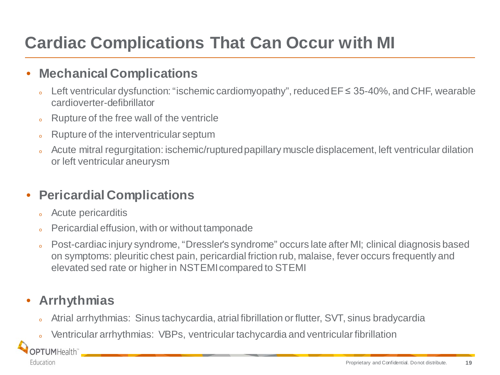# **Cardiac Complications That Can Occur with MI**

### • **Mechanical Complications**

- Left ventricular dysfunction: "ischemic cardiomyopathy", reduced  $EF \leq 35-40\%$ , and CHF, wearable cardioverter-defibrillator
- o Rupture of the free wall of the ventricle
- Rupture of the interventricular septum
- Acute mitral regurgitation: ischemic/ruptured papillary muscle displacement, left ventricular dilation or left ventricular aneurysm

### • **Pericardial Complications**

- Acute pericarditis
- Pericardial effusion, with or without tamponade
- Post-cardiac injury syndrome, "Dressler's syndrome" occurs late after MI; clinical diagnosis based on symptoms: pleuritic chest pain, pericardial friction rub, malaise, fever occurs frequently and elevated sed rate or higher in NSTEMI compared to STEMI

### • **Arrhythmias**

**OPTUMHealth** 

Education

- Atrial arrhythmias: Sinus tachycardia, atrial fibrillation or flutter, SVT, sinus bradycardia
- Ventricular arrhythmias: VBPs, ventricular tachycardia and ventricular fibrillation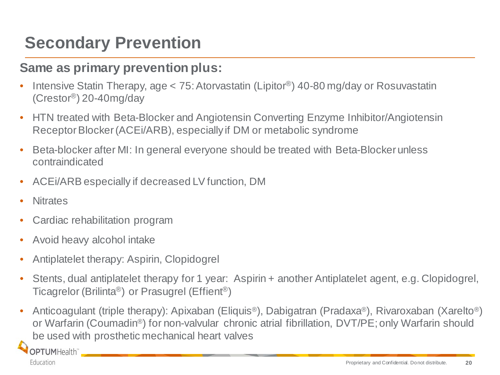## **Secondary Prevention**

### **Same as primary prevention plus:**

- Intensive Statin Therapy, age < 75: Atorvastatin (Lipitor®) 40-80 mg/day or Rosuvastatin (Crestor®) 20-40mg/day
- HTN treated with Beta-Blocker and Angiotensin Converting Enzyme Inhibitor/Angiotensin Receptor Blocker (ACEi/ARB), especially if DM or metabolic syndrome
- Beta-blocker after MI: In general everyone should be treated with Beta-Blocker unless contraindicated
- ACEi/ARB especially if decreased LV function, DM
- **Nitrates**
- Cardiac rehabilitation program
- Avoid heavy alcohol intake
- Antiplatelet therapy: Aspirin, Clopidogrel
- Stents, dual antiplatelet therapy for 1 year: Aspirin + another Antiplatelet agent, e.g. Clopidogrel, Ticagrelor (Brilinta®) or Prasugrel (Effient®)
- Anticoagulant (triple therapy): Apixaban (Eliquis®), Dabigatran (Pradaxa®), Rivaroxaban (Xarelto®) or Warfarin (Coumadin®) for non-valvular chronic atrial fibrillation, DVT/PE; only Warfarin should be used with prosthetic mechanical heart valves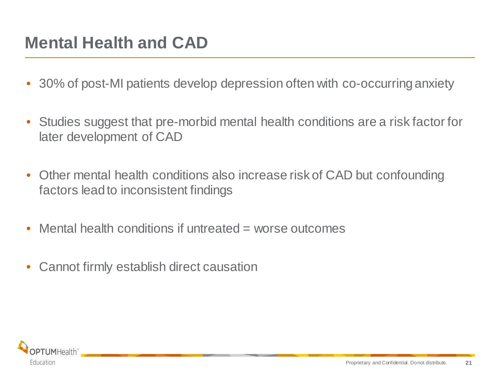## **Mental Health and CAD**

- 30% of post-MI patients develop depression often with co-occurring anxiety
- Studies suggest that pre-morbid mental health conditions are a risk factor for later development of CAD
- Other mental health conditions also increase risk of CAD but confounding factors lead to inconsistent findings
- Mental health conditions if untreated  $=$  worse outcomes
- Cannot firmly establish direct causation

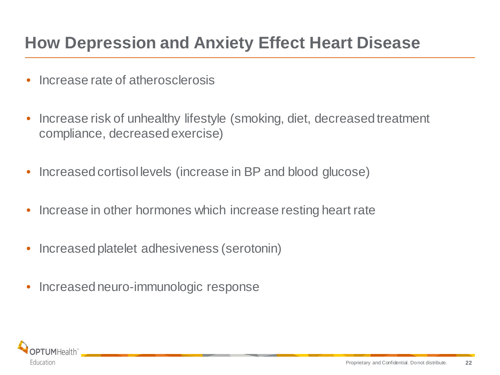## **How Depression and Anxiety Effect Heart Disease**

- Increase rate of atherosclerosis
- Increase risk of unhealthy lifestyle (smoking, diet, decreased treatment compliance, decreased exercise)
- Increased cortisol levels (increase in BP and blood glucose)
- Increase in other hormones which increase resting heart rate
- Increased platelet adhesiveness (serotonin)
- Increased neuro-immunologic response

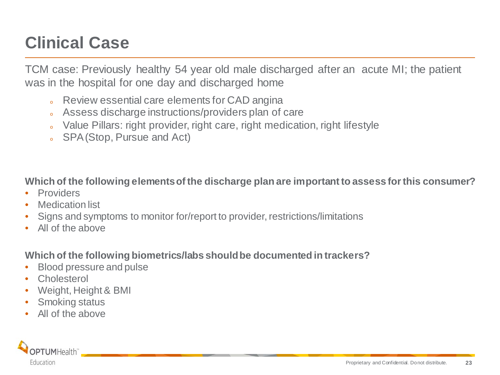# **Clinical Case**

TCM case: Previously healthy 54 year old male discharged after an acute MI; the patient was in the hospital for one day and discharged home

- o Review essential care elements for CAD angina
- o Assess discharge instructions/providers plan of care
- o Value Pillars: right provider, right care, right medication, right lifestyle
- <sup>o</sup> SPA (Stop, Pursue and Act)

**Which of the following elements of the discharge plan are important to assess for this consumer?**

- **Providers**
- Medication list
- Signs and symptoms to monitor for/report to provider, restrictions/limitations
- All of the above

**Which of the following biometrics/labs should be documented in trackers?**

- Blood pressure and pulse
- **Cholesterol**
- Weight, Height & BMI
- **Smoking status**
- All of the above

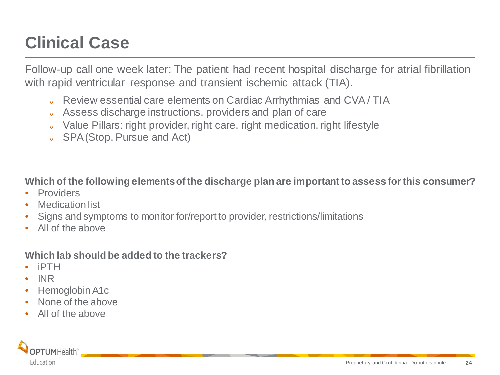# **Clinical Case**

Follow-up call one week later: The patient had recent hospital discharge for atrial fibrillation with rapid ventricular response and transient ischemic attack (TIA).

- o Review essential care elements on Cardiac Arrhythmias and CVA/TIA
- o Assess discharge instructions, providers and plan of care
- o Value Pillars: right provider, right care, right medication, right lifestyle
- <sup>o</sup> SPA (Stop, Pursue and Act)

**Which of the following elements of the discharge plan are important to assess for this consumer?**

- **Providers**
- Medication list
- Signs and symptoms to monitor for/report to provider, restrictions/limitations
- All of the above

#### **Which lab should be added to the trackers?**

- iPTH
- INR
- Hemoglobin A1c
- None of the above
- All of the above

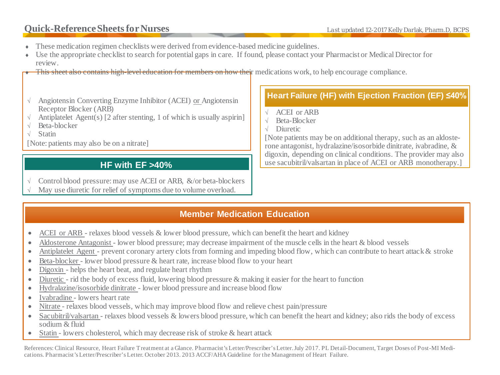#### **Quick-Reference Sheets for Nurses** Last updated 12-2017 Kelly Darlak, Pharm.D, BCPS

- These medication regimen checklists were derived from evidence-based medicine guidelines.
- Use the appropriate checklist to search for potential gaps in care. If found, please contact your Pharmacist or Medical Director for review.

This sheet also contains high-level education for members on how their medications work, to help encourage compliance.

- √ Angiotensin Converting Enzyme Inhibitor (ACEI) or Angiotensin Receptor Blocker (ARB)
- Antiplatelet Agent(s)  $[2 \text{ after setting}, 1 \text{ of which is usually aspirin}]$
- √ Beta-blocker
- √ Statin

[Note: patients may also be on a nitrate]

#### **HF with EF >40%**

√ Control blood pressure: may use ACEI or ARB, &/or beta-blockers

May use diuretic for relief of symptoms due to volume overload.

#### **Heart Failure (HF) with Ejection Fraction (EF) ≤40%**

- √ ACEI or ARB
- √ Beta-Blocker
- √ Diuretic

[Note patients may be on additional therapy, such as an aldosterone antagonist, hydralazine/isosorbide dinitrate, ivabradine, & digoxin, depending on clinical conditions. The provider may also use sacubitril/valsartan in place of ACEI or ARB monotherapy.]

#### **Member Medication Education**

- ACEI or ARB relaxes blood vessels & lower blood pressure, which can benefit the heart and kidney
- Aldosterone Antagonist lower blood pressure; may decrease impairment of the muscle cells in the heart & blood vessels
- Antiplatelet Agent prevent coronary artery clots from forming and impeding blood flow, which can contribute to heart attack & stroke
- Beta-blocker lower blood pressure & heart rate, increase blood flow to your heart
- Digoxin helps the heart beat, and regulate heart rhythm
- Diuretic rid the body of excess fluid, lowering blood pressure & making it easier for the heart to function
- Hydralazine/isosorbide dinitrate lower blood pressure and increase blood flow
- Ivabradine lowers heart rate
- Nitrate relaxes blood vessels, which may improve blood flow and relieve chest pain/pressure
- Sacubitril/valsartan relaxes blood vessels & lowers blood pressure, which can benefit the heart and kidney; also rids the body of excess sodium  $&$  fluid
- Statin lowers cholesterol, which may decrease risk of stroke & heart attack

References: Clinical Resource, Heart Failure Treatment at a Glance. Pharmacist's Letter/Prescriber's Letter. July 2017. PL Detail-Document, Target Doses of Post-MI Medications. Pharmacist's Letter/Prescriber's Letter. October 2013. 2013 ACCF/AHA Guideline for the Management of Heart Failure.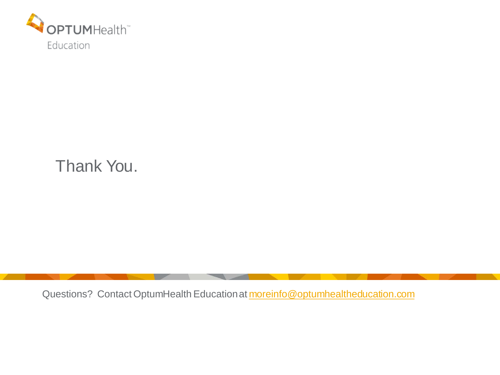

### Thank You.

Questions? Contact OptumHealth Education at moreinfo@optumhealtheducation.com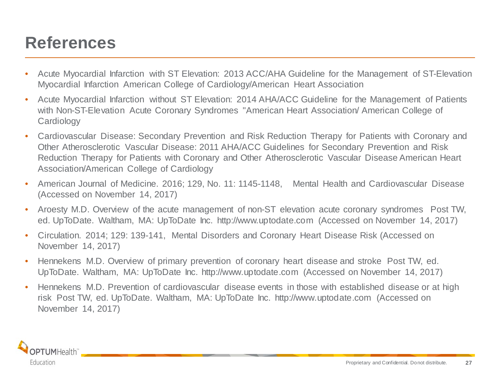### **References**

- Acute Myocardial Infarction with ST Elevation: 2013 ACC/AHA Guideline for the Management of ST-Elevation Myocardial Infarction American College of Cardiology/American Heart Association
- Acute Myocardial Infarction without ST Elevation: 2014 AHA/ACC Guideline for the Management of Patients with Non-ST-Elevation Acute Coronary Syndromes "American Heart Association/ American College of **Cardiology**
- Cardiovascular Disease: Secondary Prevention and Risk Reduction Therapy for Patients with Coronary and Other Atherosclerotic Vascular Disease: 2011 AHA/ACC Guidelines for Secondary Prevention and Risk Reduction Therapy for Patients with Coronary and Other Atherosclerotic Vascular Disease American Heart Association/American College of Cardiology
- American Journal of Medicine. 2016; 129, No. 11: 1145-1148, Mental Health and Cardiovascular Disease (Accessed on November 14, 2017)
- Aroesty M.D. Overview of the acute management of non-ST elevation acute coronary syndromes Post TW, ed. UpToDate. Waltham, MA: UpToDate Inc. http://www.uptodate.com (Accessed on November 14, 2017)
- Circulation. 2014; 129: 139-141, Mental Disorders and Coronary Heart Disease Risk (Accessed on November 14, 2017)
- Hennekens M.D. Overview of primary prevention of coronary heart disease and stroke Post TW, ed. UpToDate. Waltham, MA: UpToDate Inc. http://www.uptodate.com (Accessed on November 14, 2017)
- Hennekens M.D. Prevention of cardiovascular disease events in those with established disease or at high risk Post TW, ed. UpToDate. Waltham, MA: UpToDate Inc. http://www.uptodate.com (Accessed on November 14, 2017)